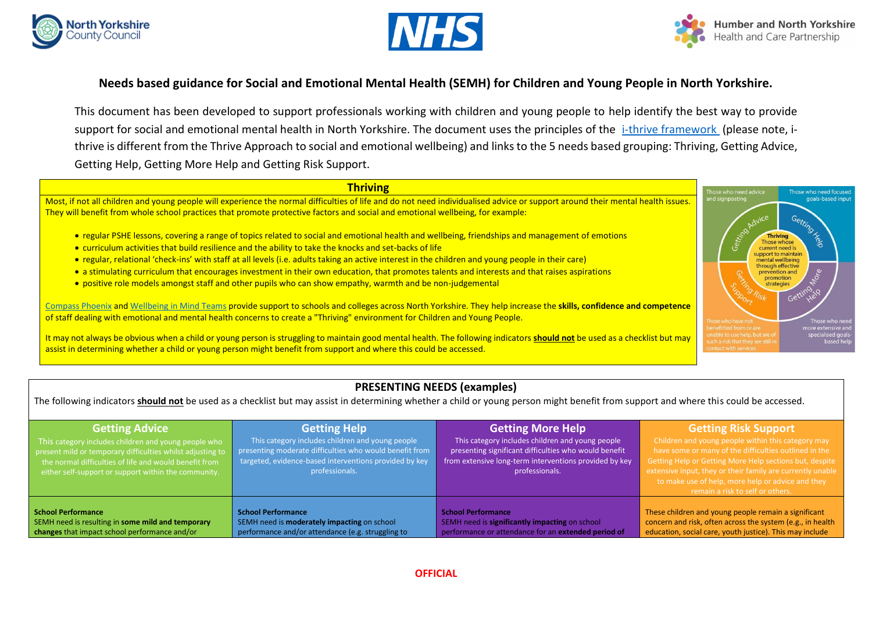





# **Needs based guidance for Social and Emotional Mental Health (SEMH) for Children and Young People in North Yorkshire.**

This document has been developed to support professionals working with children and young people to help identify the best way to provide support for social and emotional mental health in North Yorkshire. The document uses the principles of the [i-thrive framework](http://implementingthrive.org/about-us/the-thrive-framework/) (please note, ithrive is different from the Thrive Approach to social and emotional wellbeing) and links to the 5 needs based grouping: Thriving, Getting Advice, Getting Help, Getting More Help and Getting Risk Support.

### **Thriving**

Most, if not all children and young people will experience the normal difficulties of life and do not need individualised advice or support around their mental health issues. They will benefit from whole school practices that promote protective factors and social and emotional wellbeing, for example:

- regular PSHE lessons, covering a range of topics related to social and emotional health and wellbeing, friendships and management of emotions
- curriculum activities that build resilience and the ability to take the knocks and set-backs of life
- regular, relational 'check-ins' with staff at all levels (i.e. adults taking an active interest in the children and young people in their care)
- a stimulating curriculum that encourages investment in their own education, that promotes talents and interests and that raises aspirations
- positive role models amongst staff and other pupils who can show empathy, warmth and be non-judgemental

[Compass Phoenix](https://www.compass-uk.org/services/compass-phoenix/) and [Wellbeing in Mind Teams](https://www.tewv.nhs.uk/services/wellbeing-mind-school-support-young-yorkshire/) provide support to schools and colleges across North Yorkshire. They help increase the **skills, confidence and competence**  of staff dealing with emotional and mental health concerns to create a "Thriving" environment for Children and Young People.

It may not always be obvious when a child or young person is struggling to maintain good mental health. The following indicators **should not** be used as a checklist but may assist in determining whether a child or young person might benefit from support and where this could be accessed.



## **PRESENTING NEEDS (examples)**

The following indicators **should not** be used as a checklist but may assist in determining whether a child or young person might benefit from support and where this could be accessed.

| <b>Getting Advice</b><br>This category includes children and young people who<br>present mild or temporary difficulties whilst adjusting to<br>I the normal difficulties of life and would benefit from<br>either self-support or support within the community. | <b>Getting Help</b><br>This category includes children and young people<br>presenting moderate difficulties who would benefit from<br>targeted, evidence-based interventions provided by key<br>professionals. | <b>Getting More Help</b><br>This category includes children and young people<br>presenting significant difficulties who would benefit<br>from extensive long-term interventions provided by key<br>professionals. | <b>Getting Risk Support</b><br>Children and young people within this category may<br>have some or many of the difficulties outlined in the<br>Getting Help or Getting More Help sections but, despite<br>extensive input, they or their family are currently unable<br>to make use of help, more help or advice and they<br>remain a risk to self or others. |
|-----------------------------------------------------------------------------------------------------------------------------------------------------------------------------------------------------------------------------------------------------------------|----------------------------------------------------------------------------------------------------------------------------------------------------------------------------------------------------------------|-------------------------------------------------------------------------------------------------------------------------------------------------------------------------------------------------------------------|--------------------------------------------------------------------------------------------------------------------------------------------------------------------------------------------------------------------------------------------------------------------------------------------------------------------------------------------------------------|
| School Performance                                                                                                                                                                                                                                              | <b>School Performance</b>                                                                                                                                                                                      | <b>School Performance</b>                                                                                                                                                                                         | These children and young people remain a significant                                                                                                                                                                                                                                                                                                         |
| SEMH need is resulting in some mild and temporary                                                                                                                                                                                                               | SEMH need is moderately impacting on school                                                                                                                                                                    | SEMH need is significantly impacting on school                                                                                                                                                                    | concern and risk, often across the system (e.g., in health                                                                                                                                                                                                                                                                                                   |
| changes that impact school performance and/or                                                                                                                                                                                                                   | performance and/or attendance (e.g. struggling to                                                                                                                                                              | performance or attendance for an extended period of                                                                                                                                                               | education, social care, youth justice). This may include                                                                                                                                                                                                                                                                                                     |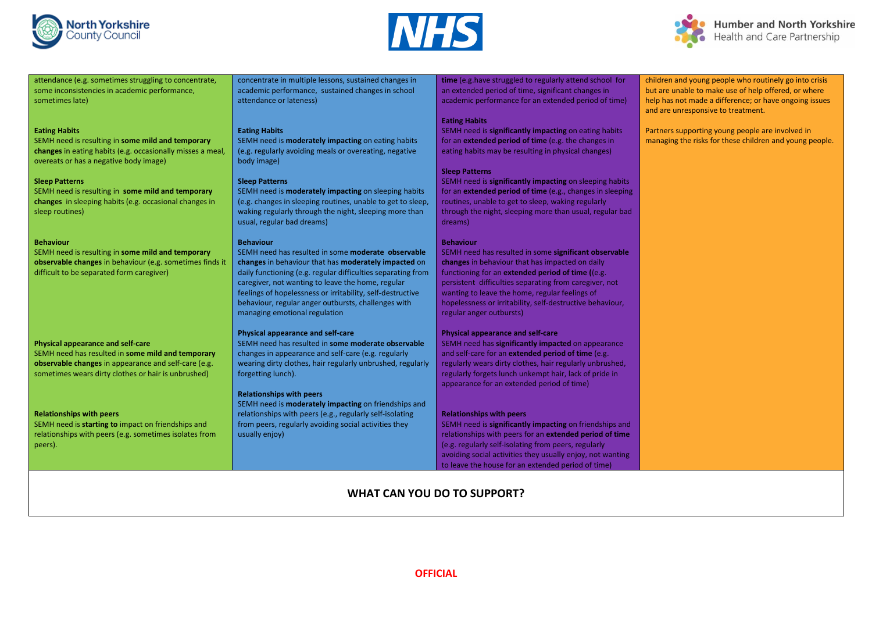





children and young people who routinely go into crisis

but are unable to make use of help offered, or where help has not made a difference; or have ongoing issues and are unresponsive to treatment.

Partners supporting young people are involved in managing the risks for these children and young people.

attendance (e.g. sometimes struggling to concentrate, some inconsistencies in academic performance, sometimes late)

#### **Eating Habits**

SEMH need is resulting in **some mild and temporary changes** in eating habits (e.g. occasionally misses a meal, overeats or has a negative body image)

#### **Sleep Patterns**

SEMH need is resulting in **some mild and temporary changes** in sleeping habits (e.g. occasional changes in sleep routines)

#### **Behaviour**

SEMH need is resulting in **some mild and temporary observable changes** in behaviour (e.g. sometimes finds it difficult to be separated form caregiver)

#### **Physical appearance and self-care**

SEMH need has resulted in **some mild and temporary observable changes** in appearance and self-care (e.g. sometimes wears dirty clothes or hair is unbrushed)

#### **Relationships with peers**

SEMH need is **starting to** impact on friendships and relationships with peers (e.g. sometimes isolates from peers).

concentrate in multiple lessons, sustained changes in academic performance, sustained changes in school attendance or lateness)

#### **Eating Habits**

SEMH need is **moderately impacting** on eating habits (e.g. regularly avoiding meals or overeating, negative body image)

#### **Sleep Patterns**

SEMH need is **moderately impacting** on sleeping habits (e.g. changes in sleeping routines, unable to get to sleep, waking regularly through the night, sleeping more than usual, regular bad dreams)

#### **Behaviour**

SEMH need has resulted in some **moderate observable changes** in behaviour that has **moderately impacted** on daily functioning (e.g. regular difficulties separating from caregiver, not wanting to leave the home, regular feelings of hopelessness or irritability, self-destructive behaviour, regular anger outbursts, challenges with managing emotional regulation

#### **Physical appearance and self-care**

SEMH need has resulted in **some moderate observable** changes in appearance and self-care (e.g. regularly wearing dirty clothes, hair regularly unbrushed, regularly forgetting lunch).

#### **Relationships with peers**

SEMH need is **moderately impacting** on friendships and relationships with peers (e.g., regularly self-isolating from peers, regularly avoiding social activities they usually enjoy)

**time** (e.g.have struggled to regularly attend school for an extended period of time, significant changes in academic performance for an extended period of time)

### **Eating Habits**

SEMH need is **significantly impacting** on eating habits for an **extended period of time** (e.g. the changes in eating habits may be resulting in physical changes)

#### **Sleep Patterns**

SEMH need is **significantly impacting** on sleeping habits for an **extended period of time** (e.g., changes in sleeping routines, unable to get to sleep, waking regularly through the night, sleeping more than usual, regular bad dreams)

#### **Behaviour**

SEMH need has resulted in some **significant observable changes** in behaviour that has impacted on daily functioning for an **extended period of time (**(e.g. persistent difficulties separating from caregiver, not wanting to leave the home, regular feelings of hopelessness or irritability, self-destructive behaviour, regular anger outbursts)

#### **Physical appearance and self-care**

SEMH need has **significantly impacted** on appearance and self-care for an **extended period of time** (e.g. regularly wears dirty clothes, hair regularly unbrushed, regularly forgets lunch unkempt hair, lack of pride in appearance for an extended period of time)

#### **Relationships with peers**

SEMH need is **significantly impacting** on friendships and relationships with peers for an **extended period of time**  (e.g. regularly self-isolating from peers, regularly avoiding social activities they usually enjoy, not wanting to leave the house for an extended period of time)

# **WHAT CAN YOU DO TO SUPPORT?**